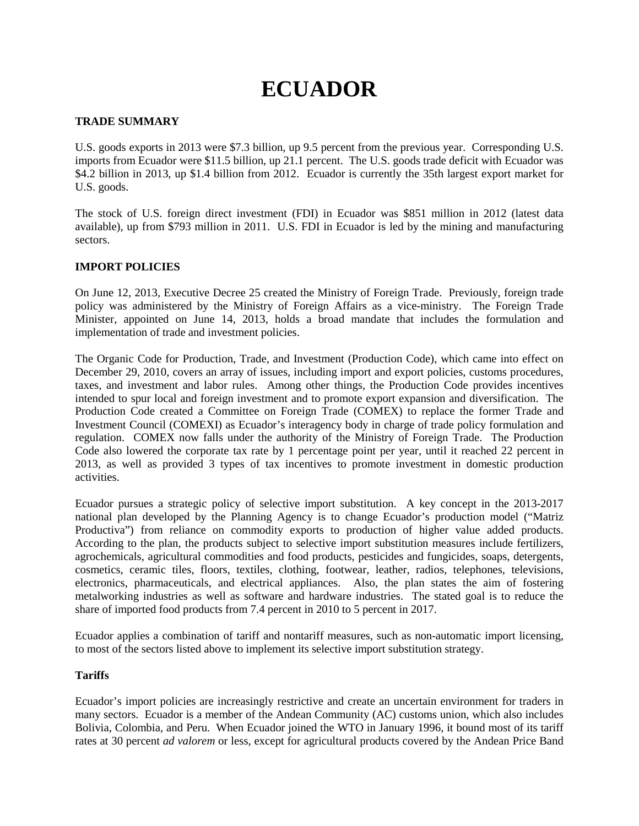# **ECUADOR**

## **TRADE SUMMARY**

U.S. goods exports in 2013 were \$7.3 billion, up 9.5 percent from the previous year. Corresponding U.S. imports from Ecuador were \$11.5 billion, up 21.1 percent. The U.S. goods trade deficit with Ecuador was \$4.2 billion in 2013, up \$1.4 billion from 2012. Ecuador is currently the 35th largest export market for U.S. goods.

The stock of U.S. foreign direct investment (FDI) in Ecuador was \$851 million in 2012 (latest data available), up from \$793 million in 2011. U.S. FDI in Ecuador is led by the mining and manufacturing sectors.

# **IMPORT POLICIES**

On June 12, 2013, Executive Decree 25 created the Ministry of Foreign Trade. Previously, foreign trade policy was administered by the Ministry of Foreign Affairs as a vice-ministry. The Foreign Trade Minister, appointed on June 14, 2013, holds a broad mandate that includes the formulation and implementation of trade and investment policies.

The Organic Code for Production, Trade, and Investment (Production Code), which came into effect on December 29, 2010, covers an array of issues, including import and export policies, customs procedures, taxes, and investment and labor rules. Among other things, the Production Code provides incentives intended to spur local and foreign investment and to promote export expansion and diversification. The Production Code created a Committee on Foreign Trade (COMEX) to replace the former Trade and Investment Council (COMEXI) as Ecuador's interagency body in charge of trade policy formulation and regulation. COMEX now falls under the authority of the Ministry of Foreign Trade. The Production Code also lowered the corporate tax rate by 1 percentage point per year, until it reached 22 percent in 2013, as well as provided 3 types of tax incentives to promote investment in domestic production activities.

Ecuador pursues a strategic policy of selective import substitution. A key concept in the 2013-2017 national plan developed by the Planning Agency is to change Ecuador's production model ("Matriz Productiva") from reliance on commodity exports to production of higher value added products. According to the plan, the products subject to selective import substitution measures include fertilizers, agrochemicals, agricultural commodities and food products, pesticides and fungicides, soaps, detergents, cosmetics, ceramic tiles, floors, textiles, clothing, footwear, leather, radios, telephones, televisions, electronics, pharmaceuticals, and electrical appliances. Also, the plan states the aim of fostering metalworking industries as well as software and hardware industries. The stated goal is to reduce the share of imported food products from 7.4 percent in 2010 to 5 percent in 2017.

Ecuador applies a combination of tariff and nontariff measures, such as non-automatic import licensing, to most of the sectors listed above to implement its selective import substitution strategy.

## **Tariffs**

Ecuador's import policies are increasingly restrictive and create an uncertain environment for traders in many sectors. Ecuador is a member of the Andean Community (AC) customs union, which also includes Bolivia, Colombia, and Peru. When Ecuador joined the WTO in January 1996, it bound most of its tariff rates at 30 percent *ad valorem* or less, except for agricultural products covered by the Andean Price Band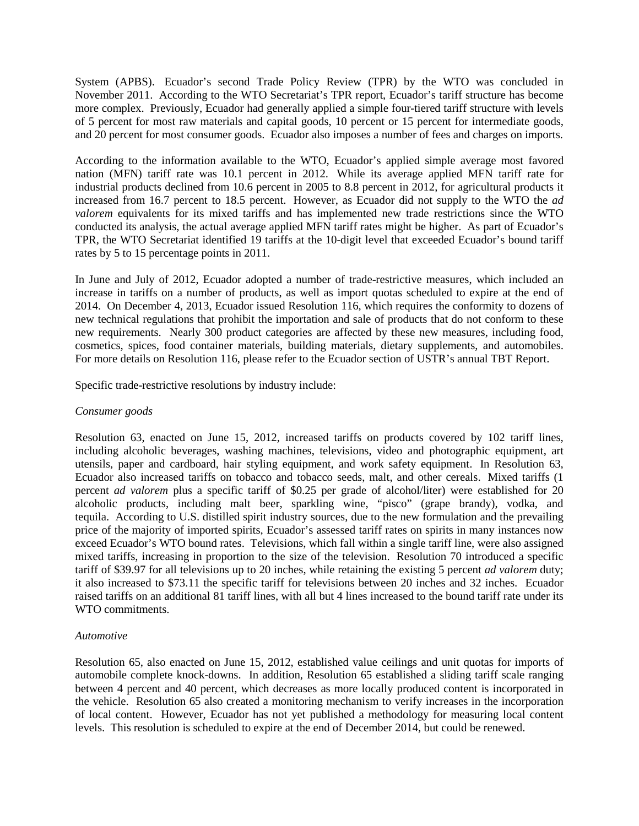System (APBS). Ecuador's second Trade Policy Review (TPR) by the WTO was concluded in November 2011. According to the WTO Secretariat's TPR report, Ecuador's tariff structure has become more complex. Previously, Ecuador had generally applied a simple four-tiered tariff structure with levels of 5 percent for most raw materials and capital goods, 10 percent or 15 percent for intermediate goods, and 20 percent for most consumer goods. Ecuador also imposes a number of fees and charges on imports.

According to the information available to the WTO, Ecuador's applied simple average most favored nation (MFN) tariff rate was 10.1 percent in 2012. While its average applied MFN tariff rate for industrial products declined from 10.6 percent in 2005 to 8.8 percent in 2012, for agricultural products it increased from 16.7 percent to 18.5 percent. However, as Ecuador did not supply to the WTO the *ad valorem* equivalents for its mixed tariffs and has implemented new trade restrictions since the WTO conducted its analysis, the actual average applied MFN tariff rates might be higher. As part of Ecuador's TPR, the WTO Secretariat identified 19 tariffs at the 10-digit level that exceeded Ecuador's bound tariff rates by 5 to 15 percentage points in 2011.

In June and July of 2012, Ecuador adopted a number of trade-restrictive measures, which included an increase in tariffs on a number of products, as well as import quotas scheduled to expire at the end of 2014. On December 4, 2013, Ecuador issued Resolution 116, which requires the conformity to dozens of new technical regulations that prohibit the importation and sale of products that do not conform to these new requirements. Nearly 300 product categories are affected by these new measures, including food, cosmetics, spices, food container materials, building materials, dietary supplements, and automobiles. For more details on Resolution 116, please refer to the Ecuador section of USTR's annual TBT Report.

Specific trade-restrictive resolutions by industry include:

#### *Consumer goods*

Resolution 63, enacted on June 15, 2012, increased tariffs on products covered by 102 tariff lines, including alcoholic beverages, washing machines, televisions, video and photographic equipment, art utensils, paper and cardboard, hair styling equipment, and work safety equipment. In Resolution 63, Ecuador also increased tariffs on tobacco and tobacco seeds, malt, and other cereals. Mixed tariffs (1 percent *ad valorem* plus a specific tariff of \$0.25 per grade of alcohol/liter) were established for 20 alcoholic products, including malt beer, sparkling wine, "pisco" (grape brandy), vodka, and tequila. According to U.S. distilled spirit industry sources, due to the new formulation and the prevailing price of the majority of imported spirits, Ecuador's assessed tariff rates on spirits in many instances now exceed Ecuador's WTO bound rates. Televisions, which fall within a single tariff line, were also assigned mixed tariffs, increasing in proportion to the size of the television. Resolution 70 introduced a specific tariff of \$39.97 for all televisions up to 20 inches, while retaining the existing 5 percent *ad valorem* duty; it also increased to \$73.11 the specific tariff for televisions between 20 inches and 32 inches. Ecuador raised tariffs on an additional 81 tariff lines, with all but 4 lines increased to the bound tariff rate under its WTO commitments.

#### *Automotive*

Resolution 65, also enacted on June 15, 2012, established value ceilings and unit quotas for imports of automobile complete knock-downs. In addition, Resolution 65 established a sliding tariff scale ranging between 4 percent and 40 percent, which decreases as more locally produced content is incorporated in the vehicle. Resolution 65 also created a monitoring mechanism to verify increases in the incorporation of local content. However, Ecuador has not yet published a methodology for measuring local content levels. This resolution is scheduled to expire at the end of December 2014, but could be renewed.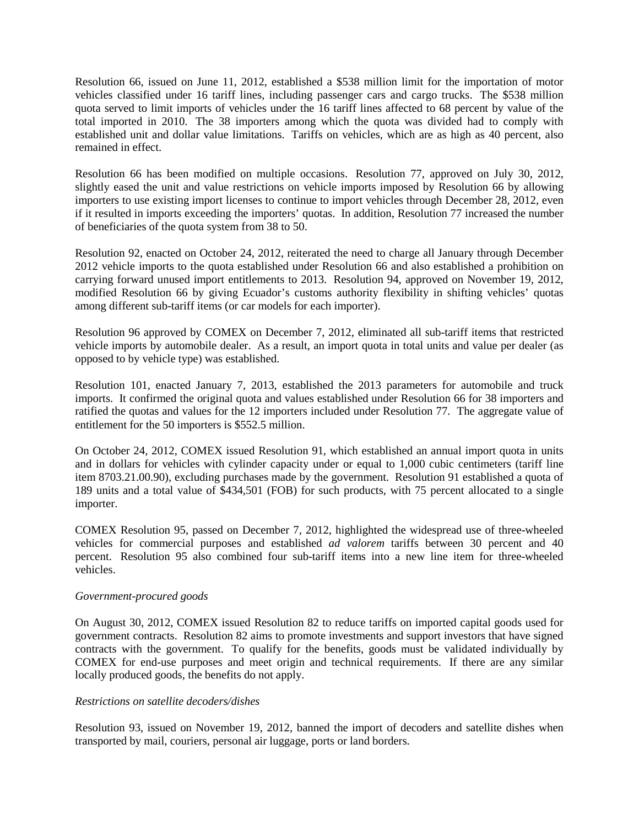Resolution 66, issued on June 11, 2012, established a \$538 million limit for the importation of motor vehicles classified under 16 tariff lines, including passenger cars and cargo trucks. The \$538 million quota served to limit imports of vehicles under the 16 tariff lines affected to 68 percent by value of the total imported in 2010. The 38 importers among which the quota was divided had to comply with established unit and dollar value limitations. Tariffs on vehicles, which are as high as 40 percent, also remained in effect.

Resolution 66 has been modified on multiple occasions. Resolution 77, approved on July 30, 2012, slightly eased the unit and value restrictions on vehicle imports imposed by Resolution 66 by allowing importers to use existing import licenses to continue to import vehicles through December 28, 2012, even if it resulted in imports exceeding the importers' quotas. In addition, Resolution 77 increased the number of beneficiaries of the quota system from 38 to 50.

Resolution 92, enacted on October 24, 2012, reiterated the need to charge all January through December 2012 vehicle imports to the quota established under Resolution 66 and also established a prohibition on carrying forward unused import entitlements to 2013. Resolution 94, approved on November 19, 2012, modified Resolution 66 by giving Ecuador's customs authority flexibility in shifting vehicles' quotas among different sub-tariff items (or car models for each importer).

Resolution 96 approved by COMEX on December 7, 2012, eliminated all sub-tariff items that restricted vehicle imports by automobile dealer. As a result, an import quota in total units and value per dealer (as opposed to by vehicle type) was established.

Resolution 101, enacted January 7, 2013, established the 2013 parameters for automobile and truck imports. It confirmed the original quota and values established under Resolution 66 for 38 importers and ratified the quotas and values for the 12 importers included under Resolution 77. The aggregate value of entitlement for the 50 importers is \$552.5 million.

On October 24, 2012, COMEX issued Resolution 91, which established an annual import quota in units and in dollars for vehicles with cylinder capacity under or equal to 1,000 cubic centimeters (tariff line item 8703.21.00.90), excluding purchases made by the government. Resolution 91 established a quota of 189 units and a total value of \$434,501 (FOB) for such products, with 75 percent allocated to a single importer.

COMEX Resolution 95, passed on December 7, 2012, highlighted the widespread use of three-wheeled vehicles for commercial purposes and established *ad valorem* tariffs between 30 percent and 40 percent. Resolution 95 also combined four sub-tariff items into a new line item for three-wheeled vehicles.

## *Government-procured goods*

On August 30, 2012, COMEX issued Resolution 82 to reduce tariffs on imported capital goods used for government contracts. Resolution 82 aims to promote investments and support investors that have signed contracts with the government. To qualify for the benefits, goods must be validated individually by COMEX for end-use purposes and meet origin and technical requirements. If there are any similar locally produced goods, the benefits do not apply.

## *Restrictions on satellite decoders/dishes*

Resolution 93, issued on November 19, 2012, banned the import of decoders and satellite dishes when transported by mail, couriers, personal air luggage, ports or land borders.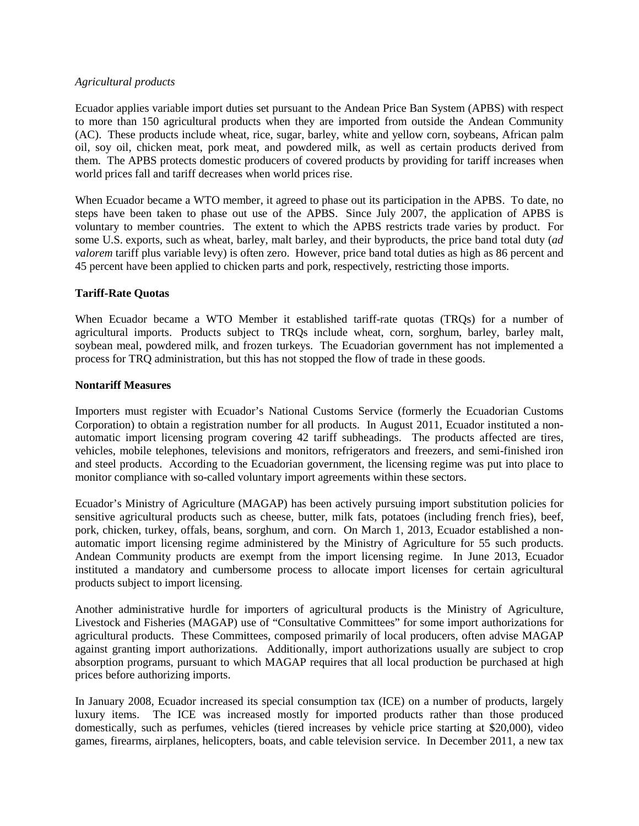#### *Agricultural products*

Ecuador applies variable import duties set pursuant to the Andean Price Ban System (APBS) with respect to more than 150 agricultural products when they are imported from outside the Andean Community (AC). These products include wheat, rice, sugar, barley, white and yellow corn, soybeans, African palm oil, soy oil, chicken meat, pork meat, and powdered milk, as well as certain products derived from them. The APBS protects domestic producers of covered products by providing for tariff increases when world prices fall and tariff decreases when world prices rise.

When Ecuador became a WTO member, it agreed to phase out its participation in the APBS. To date, no steps have been taken to phase out use of the APBS. Since July 2007, the application of APBS is voluntary to member countries. The extent to which the APBS restricts trade varies by product. For some U.S. exports, such as wheat, barley, malt barley, and their byproducts, the price band total duty (*ad valorem* tariff plus variable levy) is often zero. However, price band total duties as high as 86 percent and 45 percent have been applied to chicken parts and pork, respectively, restricting those imports.

## **Tariff-Rate Quotas**

When Ecuador became a WTO Member it established tariff-rate quotas (TRQs) for a number of agricultural imports. Products subject to TRQs include wheat, corn, sorghum, barley, barley malt, soybean meal, powdered milk, and frozen turkeys. The Ecuadorian government has not implemented a process for TRQ administration, but this has not stopped the flow of trade in these goods.

## **Nontariff Measures**

Importers must register with Ecuador's National Customs Service (formerly the Ecuadorian Customs Corporation) to obtain a registration number for all products. In August 2011, Ecuador instituted a nonautomatic import licensing program covering 42 tariff subheadings. The products affected are tires, vehicles, mobile telephones, televisions and monitors, refrigerators and freezers, and semi-finished iron and steel products. According to the Ecuadorian government, the licensing regime was put into place to monitor compliance with so-called voluntary import agreements within these sectors.

Ecuador's Ministry of Agriculture (MAGAP) has been actively pursuing import substitution policies for sensitive agricultural products such as cheese, butter, milk fats, potatoes (including french fries), beef, pork, chicken, turkey, offals, beans, sorghum, and corn. On March 1, 2013, Ecuador established a nonautomatic import licensing regime administered by the Ministry of Agriculture for 55 such products. Andean Community products are exempt from the import licensing regime. In June 2013, Ecuador instituted a mandatory and cumbersome process to allocate import licenses for certain agricultural products subject to import licensing.

Another administrative hurdle for importers of agricultural products is the Ministry of Agriculture, Livestock and Fisheries (MAGAP) use of "Consultative Committees" for some import authorizations for agricultural products. These Committees, composed primarily of local producers, often advise MAGAP against granting import authorizations. Additionally, import authorizations usually are subject to crop absorption programs, pursuant to which MAGAP requires that all local production be purchased at high prices before authorizing imports.

In January 2008, Ecuador increased its special consumption tax (ICE) on a number of products, largely luxury items. The ICE was increased mostly for imported products rather than those produced domestically, such as perfumes, vehicles (tiered increases by vehicle price starting at \$20,000), video games, firearms, airplanes, helicopters, boats, and cable television service. In December 2011, a new tax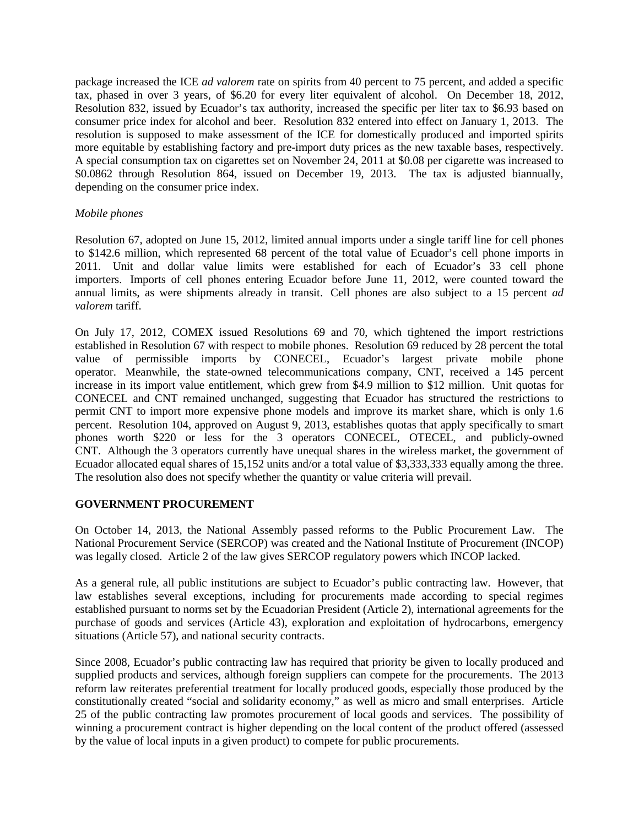package increased the ICE *ad valorem* rate on spirits from 40 percent to 75 percent, and added a specific tax, phased in over 3 years, of \$6.20 for every liter equivalent of alcohol. On December 18, 2012, Resolution 832, issued by Ecuador's tax authority, increased the specific per liter tax to \$6.93 based on consumer price index for alcohol and beer. Resolution 832 entered into effect on January 1, 2013. The resolution is supposed to make assessment of the ICE for domestically produced and imported spirits more equitable by establishing factory and pre-import duty prices as the new taxable bases, respectively. A special consumption tax on cigarettes set on November 24, 2011 at \$0.08 per cigarette was increased to \$0.0862 through Resolution 864, issued on December 19, 2013. The tax is adjusted biannually, depending on the consumer price index.

## *Mobile phones*

Resolution 67, adopted on June 15, 2012, limited annual imports under a single tariff line for cell phones to \$142.6 million, which represented 68 percent of the total value of Ecuador's cell phone imports in 2011. Unit and dollar value limits were established for each of Ecuador's 33 cell phone importers. Imports of cell phones entering Ecuador before June 11, 2012, were counted toward the annual limits, as were shipments already in transit. Cell phones are also subject to a 15 percent *ad valorem* tariff.

On July 17, 2012, COMEX issued Resolutions 69 and 70, which tightened the import restrictions established in Resolution 67 with respect to mobile phones. Resolution 69 reduced by 28 percent the total value of permissible imports by CONECEL, Ecuador's largest private mobile phone operator. Meanwhile, the state-owned telecommunications company, CNT, received a 145 percent increase in its import value entitlement, which grew from \$4.9 million to \$12 million. Unit quotas for CONECEL and CNT remained unchanged, suggesting that Ecuador has structured the restrictions to permit CNT to import more expensive phone models and improve its market share, which is only 1.6 percent. Resolution 104, approved on August 9, 2013, establishes quotas that apply specifically to smart phones worth \$220 or less for the 3 operators CONECEL, OTECEL, and publicly-owned CNT. Although the 3 operators currently have unequal shares in the wireless market, the government of Ecuador allocated equal shares of 15,152 units and/or a total value of \$3,333,333 equally among the three. The resolution also does not specify whether the quantity or value criteria will prevail.

#### **GOVERNMENT PROCUREMENT**

On October 14, 2013, the National Assembly passed reforms to the Public Procurement Law. The National Procurement Service (SERCOP) was created and the National Institute of Procurement (INCOP) was legally closed. Article 2 of the law gives SERCOP regulatory powers which INCOP lacked.

As a general rule, all public institutions are subject to Ecuador's public contracting law. However, that law establishes several exceptions, including for procurements made according to special regimes established pursuant to norms set by the Ecuadorian President (Article 2), international agreements for the purchase of goods and services (Article 43), exploration and exploitation of hydrocarbons, emergency situations (Article 57), and national security contracts.

Since 2008, Ecuador's public contracting law has required that priority be given to locally produced and supplied products and services, although foreign suppliers can compete for the procurements. The 2013 reform law reiterates preferential treatment for locally produced goods, especially those produced by the constitutionally created "social and solidarity economy," as well as micro and small enterprises. Article 25 of the public contracting law promotes procurement of local goods and services. The possibility of winning a procurement contract is higher depending on the local content of the product offered (assessed by the value of local inputs in a given product) to compete for public procurements.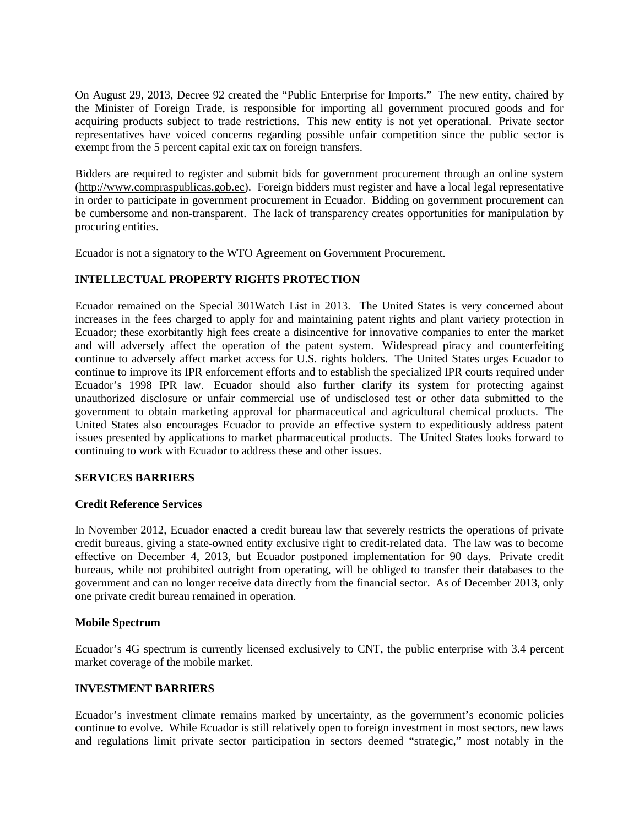On August 29, 2013, Decree 92 created the "Public Enterprise for Imports." The new entity, chaired by the Minister of Foreign Trade, is responsible for importing all government procured goods and for acquiring products subject to trade restrictions. This new entity is not yet operational. Private sector representatives have voiced concerns regarding possible unfair competition since the public sector is exempt from the 5 percent capital exit tax on foreign transfers.

Bidders are required to register and submit bids for government procurement through an online system [\(http://www.compraspublicas.gob.ec\)](http://www.compraspublicas.gob.ec/). Foreign bidders must register and have a local legal representative in order to participate in government procurement in Ecuador. Bidding on government procurement can be cumbersome and non-transparent. The lack of transparency creates opportunities for manipulation by procuring entities.

Ecuador is not a signatory to the WTO Agreement on Government Procurement.

## **INTELLECTUAL PROPERTY RIGHTS PROTECTION**

Ecuador remained on the Special 301Watch List in 2013. The United States is very concerned about increases in the fees charged to apply for and maintaining patent rights and plant variety protection in Ecuador; these exorbitantly high fees create a disincentive for innovative companies to enter the market and will adversely affect the operation of the patent system. Widespread piracy and counterfeiting continue to adversely affect market access for U.S. rights holders. The United States urges Ecuador to continue to improve its IPR enforcement efforts and to establish the specialized IPR courts required under Ecuador's 1998 IPR law. Ecuador should also further clarify its system for protecting against unauthorized disclosure or unfair commercial use of undisclosed test or other data submitted to the government to obtain marketing approval for pharmaceutical and agricultural chemical products. The United States also encourages Ecuador to provide an effective system to expeditiously address patent issues presented by applications to market pharmaceutical products. The United States looks forward to continuing to work with Ecuador to address these and other issues.

## **SERVICES BARRIERS**

## **Credit Reference Services**

In November 2012, Ecuador enacted a credit bureau law that severely restricts the operations of private credit bureaus, giving a state-owned entity exclusive right to credit-related data. The law was to become effective on December 4, 2013, but Ecuador postponed implementation for 90 days. Private credit bureaus, while not prohibited outright from operating, will be obliged to transfer their databases to the government and can no longer receive data directly from the financial sector. As of December 2013, only one private credit bureau remained in operation.

#### **Mobile Spectrum**

Ecuador's 4G spectrum is currently licensed exclusively to CNT, the public enterprise with 3.4 percent market coverage of the mobile market.

## **INVESTMENT BARRIERS**

Ecuador's investment climate remains marked by uncertainty, as the government's economic policies continue to evolve. While Ecuador is still relatively open to foreign investment in most sectors, new laws and regulations limit private sector participation in sectors deemed "strategic," most notably in the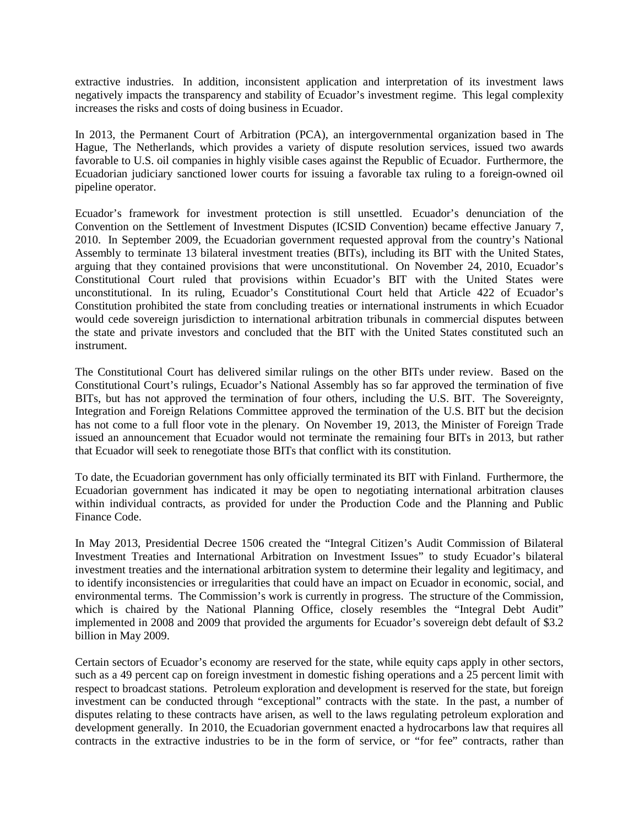extractive industries. In addition, inconsistent application and interpretation of its investment laws negatively impacts the transparency and stability of Ecuador's investment regime. This legal complexity increases the risks and costs of doing business in Ecuador.

In 2013, the Permanent Court of Arbitration (PCA), an intergovernmental organization based in The Hague, The Netherlands, which provides a variety of dispute resolution services, issued two awards favorable to U.S. oil companies in highly visible cases against the Republic of Ecuador. Furthermore, the Ecuadorian judiciary sanctioned lower courts for issuing a favorable tax ruling to a foreign-owned oil pipeline operator.

Ecuador's framework for investment protection is still unsettled. Ecuador's denunciation of the Convention on the Settlement of Investment Disputes (ICSID Convention) became effective January 7, 2010. In September 2009, the Ecuadorian government requested approval from the country's National Assembly to terminate 13 bilateral investment treaties (BITs), including its BIT with the United States, arguing that they contained provisions that were unconstitutional. On November 24, 2010, Ecuador's Constitutional Court ruled that provisions within Ecuador's BIT with the United States were unconstitutional. In its ruling, Ecuador's Constitutional Court held that Article 422 of Ecuador's Constitution prohibited the state from concluding treaties or international instruments in which Ecuador would cede sovereign jurisdiction to international arbitration tribunals in commercial disputes between the state and private investors and concluded that the BIT with the United States constituted such an instrument.

The Constitutional Court has delivered similar rulings on the other BITs under review. Based on the Constitutional Court's rulings, Ecuador's National Assembly has so far approved the termination of five BITs, but has not approved the termination of four others, including the U.S. BIT. The Sovereignty, Integration and Foreign Relations Committee approved the termination of the U.S. BIT but the decision has not come to a full floor vote in the plenary. On November 19, 2013, the Minister of Foreign Trade issued an announcement that Ecuador would not terminate the remaining four BITs in 2013, but rather that Ecuador will seek to renegotiate those BITs that conflict with its constitution.

To date, the Ecuadorian government has only officially terminated its BIT with Finland. Furthermore, the Ecuadorian government has indicated it may be open to negotiating international arbitration clauses within individual contracts, as provided for under the Production Code and the Planning and Public Finance Code.

In May 2013, Presidential Decree 1506 created the "Integral Citizen's Audit Commission of Bilateral Investment Treaties and International Arbitration on Investment Issues" to study Ecuador's bilateral investment treaties and the international arbitration system to determine their legality and legitimacy, and to identify inconsistencies or irregularities that could have an impact on Ecuador in economic, social, and environmental terms. The Commission's work is currently in progress. The structure of the Commission, which is chaired by the National Planning Office, closely resembles the "Integral Debt Audit" implemented in 2008 and 2009 that provided the arguments for Ecuador's sovereign debt default of \$3.2 billion in May 2009.

Certain sectors of Ecuador's economy are reserved for the state, while equity caps apply in other sectors, such as a 49 percent cap on foreign investment in domestic fishing operations and a 25 percent limit with respect to broadcast stations. Petroleum exploration and development is reserved for the state, but foreign investment can be conducted through "exceptional" contracts with the state. In the past, a number of disputes relating to these contracts have arisen, as well to the laws regulating petroleum exploration and development generally. In 2010, the Ecuadorian government enacted a hydrocarbons law that requires all contracts in the extractive industries to be in the form of service, or "for fee" contracts, rather than